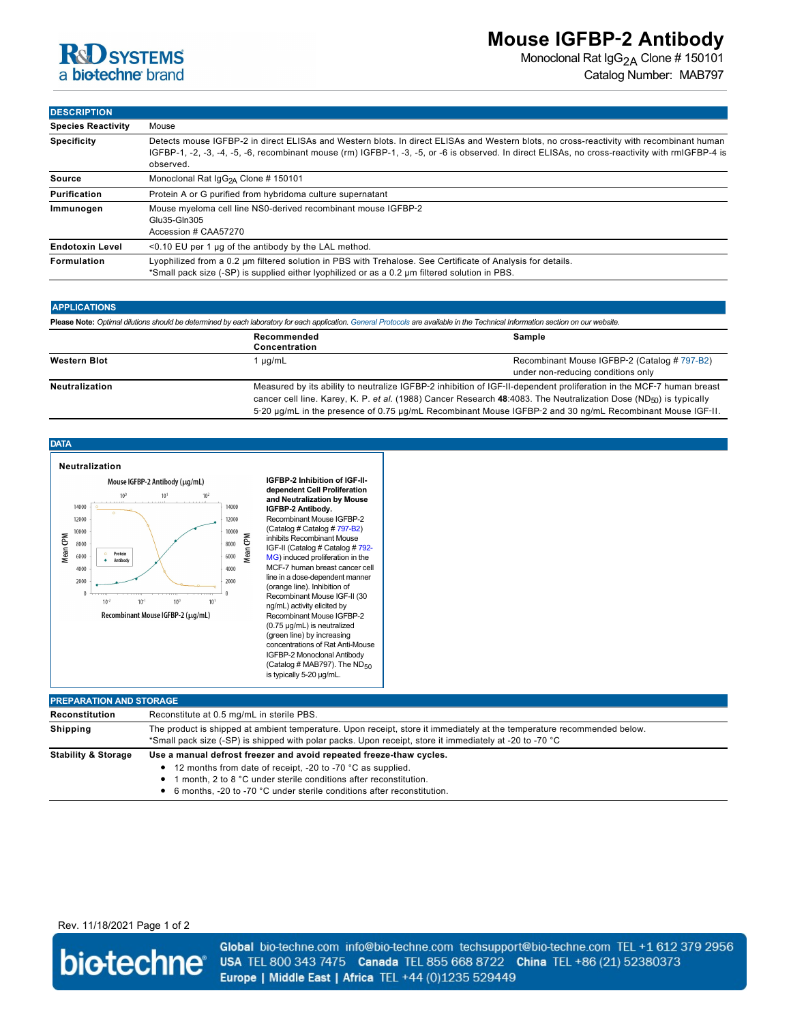

Monoclonal Rat IgG<sub>2A</sub> Clone # 150101 Catalog Number: MAB797

## **DESCRIPTION**

| -----------               |                                                                                                                                                                                                                                                                                                          |  |
|---------------------------|----------------------------------------------------------------------------------------------------------------------------------------------------------------------------------------------------------------------------------------------------------------------------------------------------------|--|
| <b>Species Reactivity</b> | Mouse                                                                                                                                                                                                                                                                                                    |  |
| <b>Specificity</b>        | Detects mouse IGFBP-2 in direct ELISAs and Western blots. In direct ELISAs and Western blots, no cross-reactivity with recombinant human<br>IGFBP-1, -2, -3, -4, -5, -6, recombinant mouse (rm) IGFBP-1, -3, -5, or -6 is observed. In direct ELISAs, no cross-reactivity with rmIGFBP-4 is<br>observed. |  |
| Source                    | Monoclonal Rat $IGG_{2A}$ Clone # 150101                                                                                                                                                                                                                                                                 |  |
| Purification              | Protein A or G purified from hybridoma culture supernatant                                                                                                                                                                                                                                               |  |
| Immunogen                 | Mouse myeloma cell line NS0-derived recombinant mouse IGFBP-2<br>Glu35-Gln305<br>Accession # CAA57270                                                                                                                                                                                                    |  |
| <b>Endotoxin Level</b>    | $<$ 0.10 EU per 1 µq of the antibody by the LAL method.                                                                                                                                                                                                                                                  |  |
| Formulation               | Lyophilized from a 0.2 um filtered solution in PBS with Trehalose. See Certificate of Analysis for details.<br>*Small pack size (-SP) is supplied either lyophilized or as a 0.2 um filtered solution in PBS.                                                                                            |  |

| <b>APPLICATIONS</b><br>Please Note: Optimal dilutions should be determined by each laboratory for each application. General Protocols are available in the Technical Information section on our website. |                                                                                                                                                                                                                                                                                                                                                                     |                                                                                    |  |  |
|----------------------------------------------------------------------------------------------------------------------------------------------------------------------------------------------------------|---------------------------------------------------------------------------------------------------------------------------------------------------------------------------------------------------------------------------------------------------------------------------------------------------------------------------------------------------------------------|------------------------------------------------------------------------------------|--|--|
|                                                                                                                                                                                                          |                                                                                                                                                                                                                                                                                                                                                                     |                                                                                    |  |  |
| <b>Western Blot</b>                                                                                                                                                                                      | µg/mL                                                                                                                                                                                                                                                                                                                                                               | Recombinant Mouse IGFBP-2 (Catalog # 797-B2)<br>under non-reducing conditions only |  |  |
| <b>Neutralization</b>                                                                                                                                                                                    | Measured by its ability to neutralize IGFBP-2 inhibition of IGF-II-dependent proliferation in the MCF-7 human breast<br>cancer cell line. Karey, K. P. et al. (1988) Cancer Research 48:4083. The Neutralization Dose (ND <sub>50</sub> ) is typically<br>5-20 µg/mL in the presence of 0.75 µg/mL Recombinant Mouse IGFBP-2 and 30 ng/mL Recombinant Mouse IGF-II. |                                                                                    |  |  |



| <b>PREPARATION AND STORAGE</b> |                                                                                                                                                                                                                                                                                        |  |
|--------------------------------|----------------------------------------------------------------------------------------------------------------------------------------------------------------------------------------------------------------------------------------------------------------------------------------|--|
| Reconstitution                 | Reconstitute at 0.5 mg/mL in sterile PBS.                                                                                                                                                                                                                                              |  |
| <b>Shipping</b>                | The product is shipped at ambient temperature. Upon receipt, store it immediately at the temperature recommended below.<br>*Small pack size (-SP) is shipped with polar packs. Upon receipt, store it immediately at -20 to -70 °C                                                     |  |
| <b>Stability &amp; Storage</b> | Use a manual defrost freezer and avoid repeated freeze-thaw cycles.<br>• 12 months from date of receipt, -20 to -70 °C as supplied.<br>• 1 month, 2 to 8 °C under sterile conditions after reconstitution.<br>• 6 months, -20 to -70 °C under sterile conditions after reconstitution. |  |

Rev. 11/18/2021 Page 1 of 2



Global bio-techne.com info@bio-techne.com techsupport@bio-techne.com TEL +1 612 379 2956 USA TEL 800 343 7475 Canada TEL 855 668 8722 China TEL +86 (21) 52380373 Europe | Middle East | Africa TEL +44 (0)1235 529449